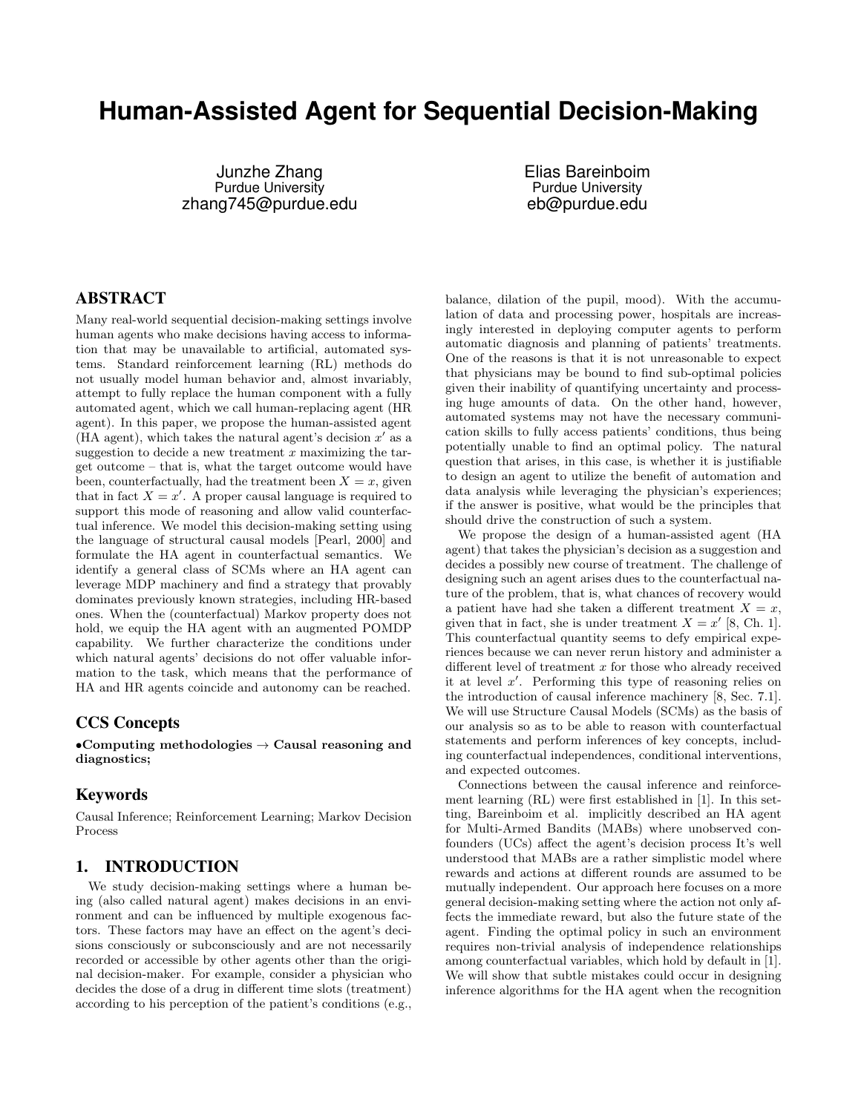# **Human-Assisted Agent for Sequential Decision-Making**

Junzhe Zhang Purdue University zhang745@purdue.edu Elias Bareinboim Purdue University eb@purdue.edu

# ABSTRACT

Many real-world sequential decision-making settings involve human agents who make decisions having access to information that may be unavailable to artificial, automated systems. Standard reinforcement learning (RL) methods do not usually model human behavior and, almost invariably, attempt to fully replace the human component with a fully automated agent, which we call human-replacing agent (HR agent). In this paper, we propose the human-assisted agent (HA agent), which takes the natural agent's decision  $x'$  as a suggestion to decide a new treatment  $x$  maximizing the target outcome – that is, what the target outcome would have been, counterfactually, had the treatment been  $X = x$ , given that in fact  $X = x'$ . A proper causal language is required to support this mode of reasoning and allow valid counterfactual inference. We model this decision-making setting using the language of structural causal models [Pearl, 2000] and formulate the HA agent in counterfactual semantics. We identify a general class of SCMs where an HA agent can leverage MDP machinery and find a strategy that provably dominates previously known strategies, including HR-based ones. When the (counterfactual) Markov property does not hold, we equip the HA agent with an augmented POMDP capability. We further characterize the conditions under which natural agents' decisions do not offer valuable information to the task, which means that the performance of HA and HR agents coincide and autonomy can be reached.

#### CCS Concepts

•Computing methodologies  $\rightarrow$  Causal reasoning and diagnostics;

## Keywords

Causal Inference; Reinforcement Learning; Markov Decision Process

## 1. INTRODUCTION

We study decision-making settings where a human being (also called natural agent) makes decisions in an environment and can be influenced by multiple exogenous factors. These factors may have an effect on the agent's decisions consciously or subconsciously and are not necessarily recorded or accessible by other agents other than the original decision-maker. For example, consider a physician who decides the dose of a drug in different time slots (treatment) according to his perception of the patient's conditions (e.g.,

balance, dilation of the pupil, mood). With the accumulation of data and processing power, hospitals are increasingly interested in deploying computer agents to perform automatic diagnosis and planning of patients' treatments. One of the reasons is that it is not unreasonable to expect that physicians may be bound to find sub-optimal policies given their inability of quantifying uncertainty and processing huge amounts of data. On the other hand, however, automated systems may not have the necessary communication skills to fully access patients' conditions, thus being potentially unable to find an optimal policy. The natural question that arises, in this case, is whether it is justifiable to design an agent to utilize the benefit of automation and data analysis while leveraging the physician's experiences; if the answer is positive, what would be the principles that should drive the construction of such a system.

We propose the design of a human-assisted agent (HA agent) that takes the physician's decision as a suggestion and decides a possibly new course of treatment. The challenge of designing such an agent arises dues to the counterfactual nature of the problem, that is, what chances of recovery would a patient have had she taken a different treatment  $X = x$ , given that in fact, she is under treatment  $X = x'$  [8, Ch. 1]. This counterfactual quantity seems to defy empirical experiences because we can never rerun history and administer a different level of treatment  $x$  for those who already received it at level  $x'$ . Performing this type of reasoning relies on the introduction of causal inference machinery [8, Sec. 7.1]. We will use Structure Causal Models (SCMs) as the basis of our analysis so as to be able to reason with counterfactual statements and perform inferences of key concepts, including counterfactual independences, conditional interventions, and expected outcomes.

Connections between the causal inference and reinforcement learning (RL) were first established in [1]. In this setting, Bareinboim et al. implicitly described an HA agent for Multi-Armed Bandits (MABs) where unobserved confounders (UCs) affect the agent's decision process It's well understood that MABs are a rather simplistic model where rewards and actions at different rounds are assumed to be mutually independent. Our approach here focuses on a more general decision-making setting where the action not only affects the immediate reward, but also the future state of the agent. Finding the optimal policy in such an environment requires non-trivial analysis of independence relationships among counterfactual variables, which hold by default in [1]. We will show that subtle mistakes could occur in designing inference algorithms for the HA agent when the recognition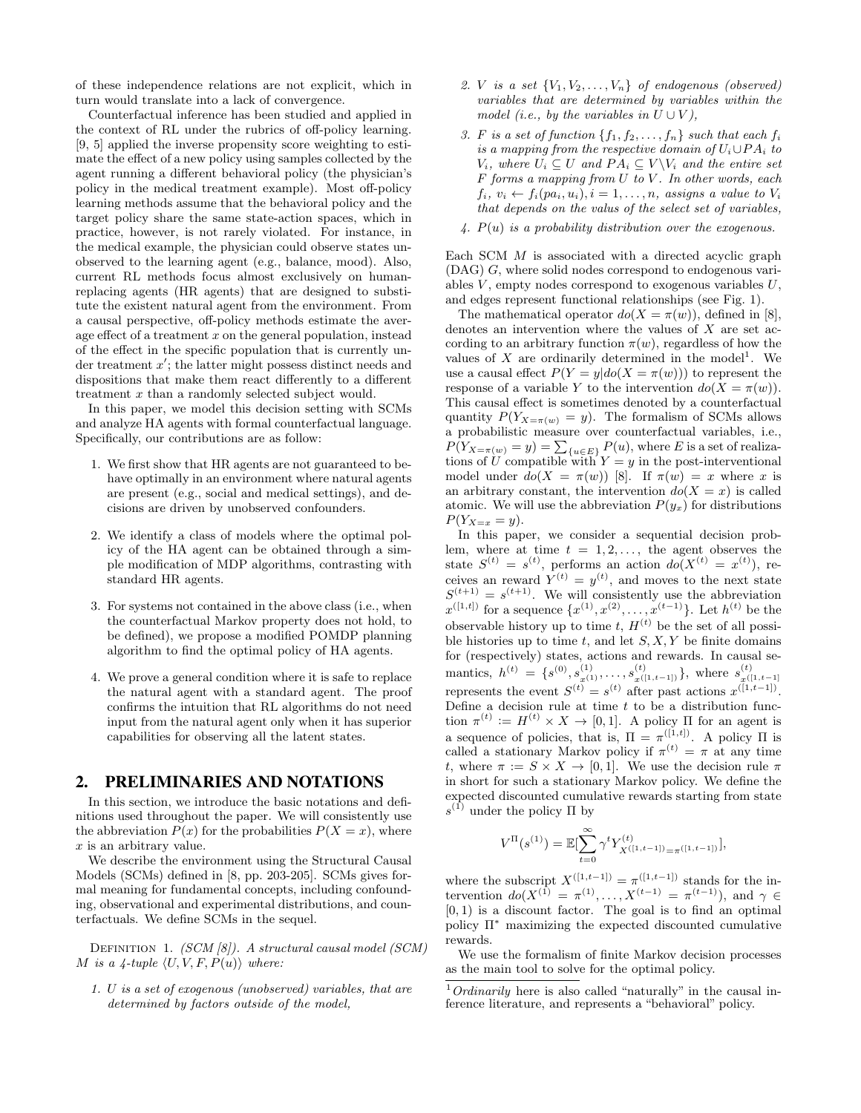of these independence relations are not explicit, which in turn would translate into a lack of convergence.

Counterfactual inference has been studied and applied in the context of RL under the rubrics of off-policy learning. [9, 5] applied the inverse propensity score weighting to estimate the effect of a new policy using samples collected by the agent running a different behavioral policy (the physician's policy in the medical treatment example). Most off-policy learning methods assume that the behavioral policy and the target policy share the same state-action spaces, which in practice, however, is not rarely violated. For instance, in the medical example, the physician could observe states unobserved to the learning agent (e.g., balance, mood). Also, current RL methods focus almost exclusively on humanreplacing agents (HR agents) that are designed to substitute the existent natural agent from the environment. From a causal perspective, off-policy methods estimate the average effect of a treatment  $x$  on the general population, instead of the effect in the specific population that is currently under treatment  $x'$ ; the latter might possess distinct needs and dispositions that make them react differently to a different treatment x than a randomly selected subject would.

In this paper, we model this decision setting with SCMs and analyze HA agents with formal counterfactual language. Specifically, our contributions are as follow:

- 1. We first show that HR agents are not guaranteed to behave optimally in an environment where natural agents are present (e.g., social and medical settings), and decisions are driven by unobserved confounders.
- 2. We identify a class of models where the optimal policy of the HA agent can be obtained through a simple modification of MDP algorithms, contrasting with standard HR agents.
- 3. For systems not contained in the above class (i.e., when the counterfactual Markov property does not hold, to be defined), we propose a modified POMDP planning algorithm to find the optimal policy of HA agents.
- 4. We prove a general condition where it is safe to replace the natural agent with a standard agent. The proof confirms the intuition that RL algorithms do not need input from the natural agent only when it has superior capabilities for observing all the latent states.

## 2. PRELIMINARIES AND NOTATIONS

In this section, we introduce the basic notations and definitions used throughout the paper. We will consistently use the abbreviation  $P(x)$  for the probabilities  $P(X = x)$ , where x is an arbitrary value.

We describe the environment using the Structural Causal Models (SCMs) defined in [8, pp. 203-205]. SCMs gives formal meaning for fundamental concepts, including confounding, observational and experimental distributions, and counterfactuals. We define SCMs in the sequel.

DEFINITION 1. (SCM [8]). A structural causal model (SCM) M is a 4-tuple  $\langle U, V, F, P(u) \rangle$  where:

1. U is a set of exogenous (unobserved) variables, that are determined by factors outside of the model,

- 2. V is a set  ${V_1, V_2, \ldots, V_n}$  of endogenous (observed) variables that are determined by variables within the model (i.e., by the variables in  $U \cup V$ ),
- 3. F is a set of function  $\{f_1, f_2, \ldots, f_n\}$  such that each  $f_i$ is a mapping from the respective domain of  $U_i \cup PA_i$  to  $V_i$ , where  $U_i \subseteq U$  and  $PA_i \subseteq V \backslash V_i$  and the entire set  $F$  forms a mapping from  $U$  to  $V$ . In other words, each  $f_i, v_i \leftarrow f_i(pa_i, u_i), i = 1, \ldots, n$ , assigns a value to  $V_i$ that depends on the valus of the select set of variables,
- 4.  $P(u)$  is a probability distribution over the exogenous.

Each SCM M is associated with a directed acyclic graph (DAG) G, where solid nodes correspond to endogenous variables  $V$ , empty nodes correspond to exogenous variables  $U$ , and edges represent functional relationships (see Fig. 1).

The mathematical operator  $d\sigma(X = \pi(w))$ , defined in [8], denotes an intervention where the values of X are set according to an arbitrary function  $\pi(w)$ , regardless of how the values of  $X$  are ordinarily determined in the model<sup>1</sup>. We use a causal effect  $P(Y = y|do(X = \pi(w)))$  to represent the response of a variable Y to the intervention  $do(X = \pi(w))$ . This causal effect is sometimes denoted by a counterfactual quantity  $P(Y_{X=\pi(w)}=y)$ . The formalism of SCMs allows a probabilistic measure over counterfactual variables, i.e.,  $P(Y_{X=\pi(w)}=y) = \sum_{\{u \in E\}} P(u)$ , where E is a set of realizations of U compatible with  $Y = y$  in the post-interventional model under  $d\sigma(X = \pi(w))$  [8]. If  $\pi(w) = x$  where x is an arbitrary constant, the intervention  $do(X = x)$  is called atomic. We will use the abbreviation  $P(y_x)$  for distributions  $P(Y_{X=x}=y).$ 

In this paper, we consider a sequential decision problem, where at time  $t = 1, 2, \ldots$ , the agent observes the state  $S^{(t)} = s^{(t)}$ , performs an action  $do(X^{(t)} = x^{(t)})$ , receives an reward  $Y^{(t)} = y^{(t)}$ , and moves to the next state  $S^{(t+1)} = s^{(t+1)}$ . We will consistently use the abbreviation  $x^{([1,t])}$  for a sequence  $\{x^{(1)}, x^{(2)}, \ldots, x^{(t-1)}\}$ . Let  $h^{(t)}$  be the observable history up to time  $t, H^{(t)}$  be the set of all possible histories up to time  $t$ , and let  $S, X, Y$  be finite domains for (respectively) states, actions and rewards. In causal semantics,  $h^{(t)} = \{s^{(0)}, s_{x(1)}^{(1)}, \ldots, s_{x(l_1,t-1_l)}^{(t)}\}$ , where  $s_{x(l_1,t-1)}^{(t)}$ represents the event  $S^{(t)} = s^{(t)}$  after past actions  $x^{([1,t-1])}$ . Define a decision rule at time  $t$  to be a distribution function  $\pi^{(t)} := H^{(t)} \times X \to [0, 1]$ . A policy  $\Pi$  for an agent is a sequence of policies, that is,  $\Pi = \pi^{([1,t])}$ . A policy  $\Pi$  is called a stationary Markov policy if  $\pi^{(t)} = \pi$  at any time t, where  $\pi := S \times X \to [0, 1]$ . We use the decision rule  $\pi$ in short for such a stationary Markov policy. We define the expected discounted cumulative rewards starting from state  $s^{(1)}$  under the policy  $\Pi$  by

$$
V^{\Pi}(s^{(1)}) = \mathbb{E}[\sum_{t=0}^{\infty} \gamma^{t} Y_{X^{([1,t-1])}=\pi([1,t-1])}^{(t)}],
$$

where the subscript  $X^{([1,t-1])} = \pi^{([1,t-1])}$  stands for the intervention  $do(X^{(1)} = \pi^{(1)}, \ldots, X^{(t-1)} = \pi^{(t-1)}),$  and  $\gamma \in$  $[0, 1)$  is a discount factor. The goal is to find an optimal policy Π<sup>∗</sup> maximizing the expected discounted cumulative rewards.

We use the formalism of finite Markov decision processes as the main tool to solve for the optimal policy.

 $1$ <sup>1</sup>Ordinarily here is also called "naturally" in the causal inference literature, and represents a "behavioral" policy.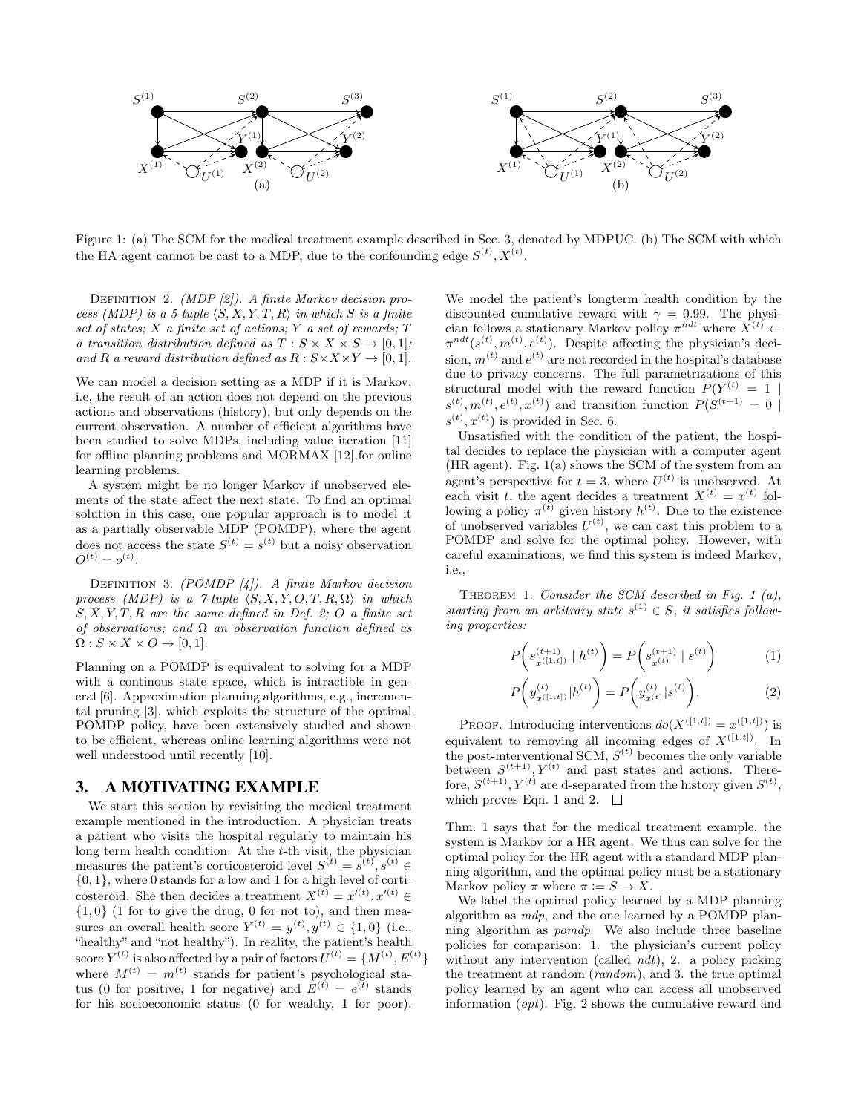

Figure 1: (a) The SCM for the medical treatment example described in Sec. 3, denoted by MDPUC. (b) The SCM with which the HA agent cannot be cast to a MDP, due to the confounding edge  $S^{(t)}, X^{(t)}$ .

DEFINITION 2. *(MDP [2])*. A finite Markov decision process (MDP) is a 5-tuple  $\langle S, X, Y, T, R \rangle$  in which S is a finite set of states; X a finite set of actions; Y a set of rewards; T a transition distribution defined as  $T : S \times X \times S \rightarrow [0,1]$ ; and R a reward distribution defined as  $R: S \times X \times Y \rightarrow [0, 1].$ 

We can model a decision setting as a MDP if it is Markov, i.e, the result of an action does not depend on the previous actions and observations (history), but only depends on the current observation. A number of efficient algorithms have been studied to solve MDPs, including value iteration [11] for offline planning problems and MORMAX [12] for online learning problems.

A system might be no longer Markov if unobserved elements of the state affect the next state. To find an optimal solution in this case, one popular approach is to model it as a partially observable MDP (POMDP), where the agent does not access the state  $S^{(t)} = s^{(t)}$  but a noisy observation  $O^{(t)} = o^{(t)}$ .

DEFINITION 3. (POMDP  $[4]$ ). A finite Markov decision process (MDP) is a 7-tuple  $\langle S, X, Y, O, T, R, \Omega \rangle$  in which  $S, X, Y, T, R$  are the same defined in Def. 2; O a finite set of observations; and  $\Omega$  an observation function defined as  $\Omega$  :  $S \times X \times O \rightarrow [0, 1]$ .

Planning on a POMDP is equivalent to solving for a MDP with a continous state space, which is intractible in general [6]. Approximation planning algorithms, e.g., incremental pruning [3], which exploits the structure of the optimal POMDP policy, have been extensively studied and shown to be efficient, whereas online learning algorithms were not well understood until recently [10].

## 3. A MOTIVATING EXAMPLE

We start this section by revisiting the medical treatment example mentioned in the introduction. A physician treats a patient who visits the hospital regularly to maintain his long term health condition. At the  $t$ -th visit, the physician measures the patient's corticosteroid level  $S^{(t)} = s^{(t)}, s^{(t)} \in$  $\{0, 1\}$ , where 0 stands for a low and 1 for a high level of corticosteroid. She then decides a treatment  $X^{(t)} = x^{\prime(t)}, x^{\prime(t)} \in$  ${1,0}$  (1 for to give the drug, 0 for not to), and then measures an overall health score  $Y^{(t)} = y^{(t)}, y^{(t)} \in \{1,0\}$  (i.e., "healthy" and "not healthy"). In reality, the patient's health score  $Y^{(t)}$  is also affected by a pair of factors  $U^{(t)} = \{M^{(t)}, E^{(t)}\}$ where  $M^{(t)} = m^{(t)}$  stands for patient's psychological status (0 for positive, 1 for negative) and  $E^{(t)} = e^{(t)}$  stands for his socioeconomic status (0 for wealthy, 1 for poor).

We model the patient's longterm health condition by the discounted cumulative reward with  $\gamma = 0.99$ . The physician follows a stationary Markov policy  $\pi^{ndt}$  where  $\overline{X}^{(t)}$   $\leftarrow$  $\pi^{ndt}(s^{(t)}, m^{(t)}, e^{(t)})$ . Despite affecting the physician's decision,  $m^{(t)}$  and  $e^{(t)}$  are not recorded in the hospital's database due to privacy concerns. The full parametrizations of this structural model with the reward function  $P(Y^{(t)} = 1)$  $s^{(t)}, m^{(t)}, e^{(t)}, x^{(t)}$  and transition function  $P(S^{(t+1)} = 0$  $s^{(t)}, x^{(t)}$  is provided in Sec. 6.

Unsatisfied with the condition of the patient, the hospital decides to replace the physician with a computer agent (HR agent). Fig. 1(a) shows the SCM of the system from an agent's perspective for  $t = 3$ , where  $U^{(t)}$  is unobserved. At each visit t, the agent decides a treatment  $X^{(t)} = x^{(t)}$  following a policy  $\pi^{(t)}$  given history  $h^{(t)}$ . Due to the existence of unobserved variables  $U^{(t)}$ , we can cast this problem to a POMDP and solve for the optimal policy. However, with careful examinations, we find this system is indeed Markov, i.e.,

THEOREM 1. Consider the SCM described in Fig. 1  $(a)$ , starting from an arbitrary state  $s^{(1)} \in S$ , it satisfies following properties:

$$
P\left(s_{x^{(1,t_1)}}^{(t+1)} \mid h^{(t)}\right) = P\left(s_{x^{(t)}}^{(t+1)} \mid s^{(t)}\right) \tag{1}
$$

$$
P\left(y_{x^{([1,t])}}^{(t)}|h^{(t)}\right) = P\left(y_{x^{(t)}}^{(t)}|s^{(t)}\right).
$$
\n(2)

PROOF. Introducing interventions  $do(X^{([1,t])} = x^{([1,t])})$  is equivalent to removing all incoming edges of  $X^{([1,t])}$ . In the post-interventional SCM,  $S^{(t)}$  becomes the only variable between  $S^{(t+1)}$ ,  $Y^{(t)}$  and past states and actions. Therefore,  $S^{(t+1)}$ ,  $Y^{(t)}$  are d-separated from the history given  $S^{(t)}$ , which proves Eqn. 1 and 2.  $\square$ 

Thm. 1 says that for the medical treatment example, the system is Markov for a HR agent. We thus can solve for the optimal policy for the HR agent with a standard MDP planning algorithm, and the optimal policy must be a stationary Markov policy  $\pi$  where  $\pi := S \to X$ .

We label the optimal policy learned by a MDP planning algorithm as mdp, and the one learned by a POMDP planning algorithm as pomdp. We also include three baseline policies for comparison: 1. the physician's current policy without any intervention (called *ndt*), 2. a policy picking the treatment at random (random), and 3. the true optimal policy learned by an agent who can access all unobserved information (opt). Fig. 2 shows the cumulative reward and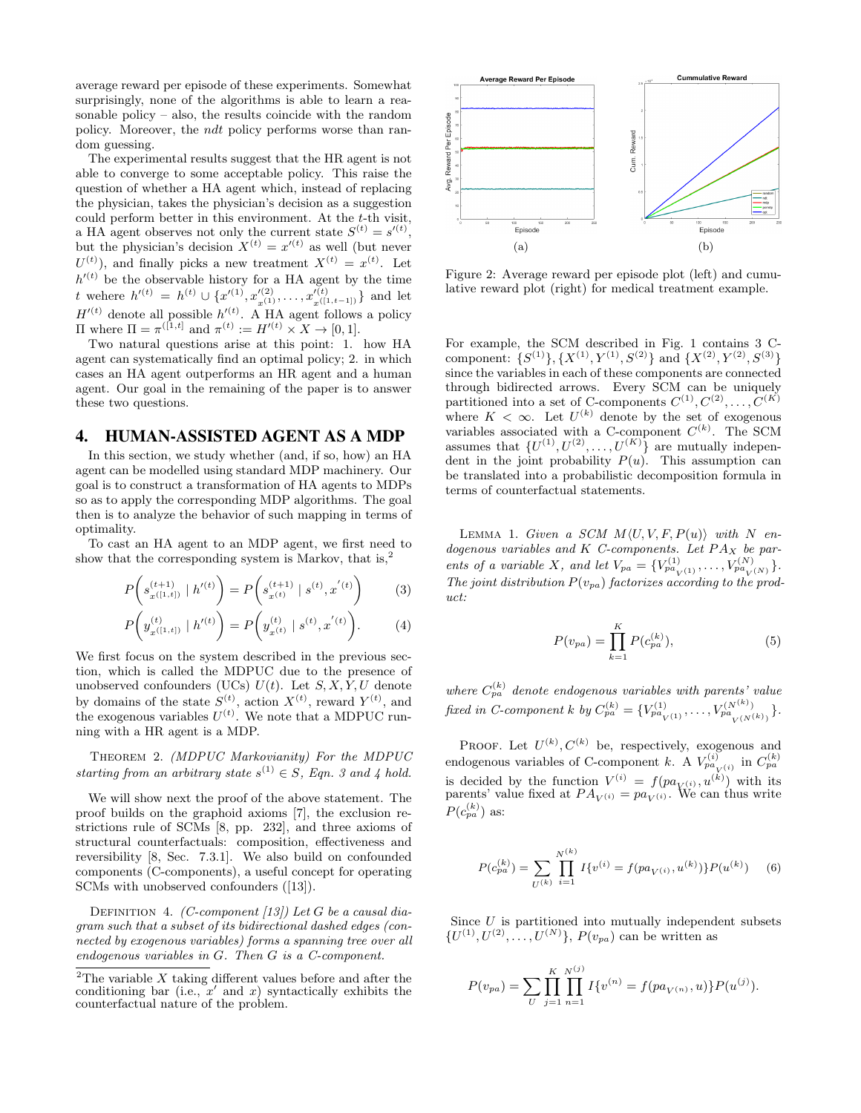average reward per episode of these experiments. Somewhat surprisingly, none of the algorithms is able to learn a reasonable policy – also, the results coincide with the random policy. Moreover, the ndt policy performs worse than random guessing.

The experimental results suggest that the HR agent is not able to converge to some acceptable policy. This raise the question of whether a HA agent which, instead of replacing the physician, takes the physician's decision as a suggestion could perform better in this environment. At the  $t$ -th visit, a HA agent observes not only the current state  $S^{(t)} = s^{\prime(t)}$ , but the physician's decision  $X^{(t)} = x^{\prime(t)}$  as well (but never  $U^{(t)}$ ), and finally picks a new treatment  $X^{(t)} = x^{(t)}$ . Let  $h^{\prime(t)}$  be the observable history for a HA agent by the time t wehere  $h'(t) = h^{(t)} \cup \{x'(0), x'_{(1)}(2), \ldots, x'_{(t(1,t-1))}\}\$  and let  $H^{\prime (t)}$  denote all possible  $h^{\prime (t)}$ . A HA agent follows a policy  $\Pi$  where  $\Pi = \pi^{([1,t]}$  and  $\pi^{(t)} := H'^{(t)} \times X → [0,1].$ 

Two natural questions arise at this point: 1. how HA agent can systematically find an optimal policy; 2. in which cases an HA agent outperforms an HR agent and a human agent. Our goal in the remaining of the paper is to answer these two questions.

#### 4. HUMAN-ASSISTED AGENT AS A MDP

In this section, we study whether (and, if so, how) an HA agent can be modelled using standard MDP machinery. Our goal is to construct a transformation of HA agents to MDPs so as to apply the corresponding MDP algorithms. The goal then is to analyze the behavior of such mapping in terms of optimality.

To cast an HA agent to an MDP agent, we first need to show that the corresponding system is Markov, that is,<sup>2</sup>

$$
P\left(s_{x^{([1,t])}}^{(t+1)} \mid h'^{(t)}\right) = P\left(s_{x^{(t)}}^{(t+1)} \mid s^{(t)}, x^{'(t)}\right) \tag{3}
$$

$$
P\left(y_{x^{([1,t])}}^{(t)} \mid h'^{(t)}\right) = P\left(y_{x^{(t)}}^{(t)} \mid s^{(t)}, x^{'(t)}\right). \tag{4}
$$

We first focus on the system described in the previous section, which is called the MDPUC due to the presence of unobserved confounders (UCs)  $U(t)$ . Let  $S, X, Y, U$  denote by domains of the state  $S^{(t)}$ , action  $X^{(t)}$ , reward  $Y^{(t)}$ , and the exogenous variables  $U^{(t)}$ . We note that a MDPUC running with a HR agent is a MDP.

Theorem 2. (MDPUC Markovianity) For the MDPUC starting from an arbitrary state  $s^{(1)} \in S$ , Eqn. 3 and 4 hold.

We will show next the proof of the above statement. The proof builds on the graphoid axioms [7], the exclusion restrictions rule of SCMs [8, pp. 232], and three axioms of structural counterfactuals: composition, effectiveness and reversibility [8, Sec. 7.3.1]. We also build on confounded components (C-components), a useful concept for operating SCMs with unobserved confounders ([13]).

DEFINITION 4. (C-component [13]) Let G be a causal diagram such that a subset of its bidirectional dashed edges (connected by exogenous variables) forms a spanning tree over all endogenous variables in G. Then G is a C-component.



Figure 2: Average reward per episode plot (left) and cumulative reward plot (right) for medical treatment example.

For example, the SCM described in Fig. 1 contains 3 Ccomponent:  $\{S^{(1)}\}, \{X^{(1)}, Y^{(1)}, S^{(2)}\}$  and  $\{X^{(2)}, Y^{(2)}, S^{(3)}\}$ since the variables in each of these components are connected through bidirected arrows. Every SCM can be uniquely partitioned into a set of C-components  $C^{(1)}, C^{(2)}, \ldots, C^{(K)}$ where  $K < \infty$ . Let  $U^{(k)}$  denote by the set of exogenous variables associated with a C-component  $C^{(k)}$ . The SCM assumes that  $\{U^{(1)}, U^{(2)}, \ldots, U^{(K)}\}$  are mutually independent in the joint probability  $P(u)$ . This assumption can be translated into a probabilistic decomposition formula in terms of counterfactual statements.

LEMMA 1. Given a SCM  $M\langle U, V, F, P(u)\rangle$  with N endogenous variables and  $K$  C-components. Let  $PA<sub>X</sub>$  be parents of a variable X, and let  $V_{pa} = \{V_{pa_{V(1)}}^{(1)}, \ldots, V_{pa_{V(N)}}^{(N)}\}$ . The joint distribution  $P(v_{pa})$  factorizes according to the product:

$$
P(v_{pa}) = \prod_{k=1}^{K} P(c_{pa}^{(k)}),
$$
\n(5)

where  $C_{pa}^{(k)}$  denote endogenous variables with parents' value fixed in C-component k by  $C_{pa}^{(k)} = \{V_{pa}^{(1)}(1)}, \ldots, V_{pa}^{(N^{(k)})}(N^{(k)})\}$ .

PROOF. Let  $U^{(k)}$ ,  $C^{(k)}$  be, respectively, exogenous and endogenous variables of C-component k. A  $V_{pa_{\tilde{V}}(i)}^{(i)}$  in  $C_{pa}^{(k)}$ is decided by the function  $V^{(i)} = f(pa_{V^{(i)}}, u^{(k)})$  with its parents' value fixed at  $PA_{V^{(i)}} = pa_{V^{(i)}}$ . We can thus write  $P(c_{pa}^{(k)})$  as:

$$
P(c_{pa}^{(k)}) = \sum_{U^{(k)}} \prod_{i=1}^{N^{(k)}} I\{v^{(i)} = f(pa_{V^{(i)}}, u^{(k)})\} P(u^{(k)}) \quad (6)
$$

Since  $U$  is partitioned into mutually independent subsets  $\{U^{(1)}, U^{(2)}, \ldots, U^{(N)}\}, P(v_{pa})$  can be written as

$$
P(v_{pa}) = \sum_{U} \prod_{j=1}^{K} \prod_{n=1}^{N^{(j)}} I\{v^{(n)} = f(pa_{V^{(n)}}, u)\} P(u^{(j)}).
$$

<sup>&</sup>lt;sup>2</sup>The variable  $X$  taking different values before and after the conditioning bar (i.e.,  $x'$  and  $x$ ) syntactically exhibits the counterfactual nature of the problem.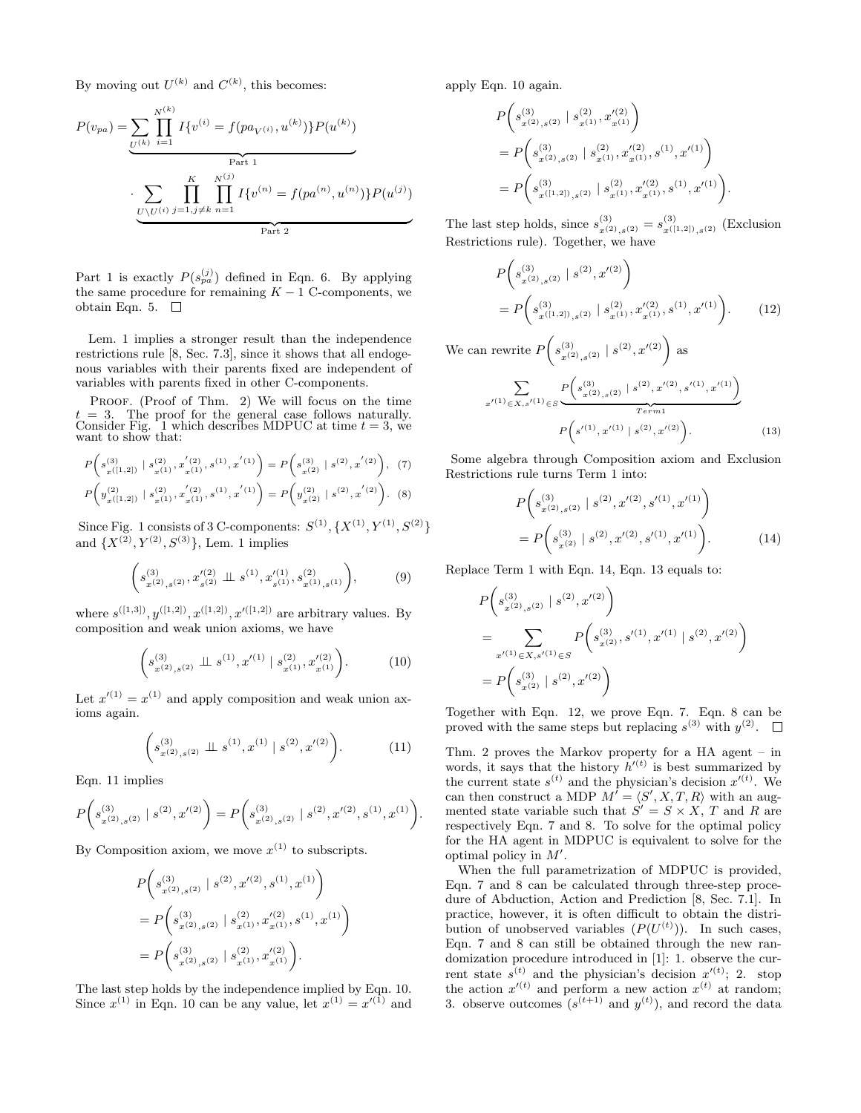By moving out  $U^{(k)}$  and  $C^{(k)}$ , this becomes:

$$
P(v_{pa}) = \underbrace{\sum_{U^{(k)}} \prod_{i=1}^{N^{(k)}} I\{v^{(i)} = f(pa_{V^{(i)}}, u^{(k)})\} P(u^{(k)})}_{\text{Part 1}}
$$

$$
\cdot \underbrace{\sum_{U \setminus U^{(i)}} \prod_{j=1, j \neq k}^{K} \prod_{n=1}^{N^{(j)}} I\{v^{(n)} = f(pa^{(n)}, u^{(n)})\} P(u^{(j)})}_{\text{Part 2}}
$$

Part 1 is exactly  $P(s_{pa}^{(j)})$  defined in Eqn. 6. By applying the same procedure for remaining  $K - 1$  C-components, we obtain Eqn. 5.  $\Box$ 

Lem. 1 implies a stronger result than the independence restrictions rule [8, Sec. 7.3], since it shows that all endogenous variables with their parents fixed are independent of variables with parents fixed in other C-components.

PROOF. (Proof of Thm. 2) We will focus on the time  $= 3$ . The proof for the general case follows naturally. Consider Fig. 1 which describes MDPUC at time  $t = 3$ , we want to show that:

$$
P\left(s_{x(1,2)}^{(3)} \mid s_{x(1)}^{(2)}, x_{x(1)}^{'(2)}, s^{(1)}, x^{'(1)}\right) = P\left(s_{x(2)}^{(3)} \mid s^{(2)}, x^{'(2)}\right), (7)
$$

$$
P\left(y_{x(1,2)}^{(2)} \mid s_{x(1)}^{(2)}, x_{x(1)}^{'(2)}, s^{(1)}, x^{'(1)}\right) = P\left(y_{x(2)}^{(2)} \mid s^{(2)}, x^{'(2)}\right). \tag{8}
$$

Since Fig. 1 consists of 3 C-components:  $S^{(1)}$ ,  $\{X^{(1)}, Y^{(1)}, S^{(2)}\}$ and  $\{X^{(2)}, Y^{(2)}, S^{(3)}\}$ , Lem. 1 implies

$$
\left(s_{x^{(2)},s^{(2)}}^{(3)}, x_{s^{(2)}}^{'(2)} \perp \!\!\!\perp s^{(1)}, x_{s^{(1)}}^{'(1)}, s_{x^{(1)},s^{(1)}}^{(2)}\right), \tag{9}
$$

where  $s^{([1,3])}, y^{([1,2])}, x^{([1,2])}, x'^{([1,2])}$  are arbitrary values. By composition and weak union axioms, we have

$$
\left(s_{x^{(2)},s^{(2)}}^{(3)} \perp \!\!\!\perp s^{(1)}, x'^{(1)} \mid s_{x^{(1)}}^{(2)}, x'^{(2)}_{x^{(1)}}\right). \tag{10}
$$

Let  $x'^{(1)} = x^{(1)}$  and apply composition and weak union axioms again.

$$
\left(s_{x^{(2)},s^{(2)}}^{(3)} \perp s^{(1)}, x^{(1)} \mid s^{(2)}, x'^{(2)}\right). \tag{11}
$$

Eqn. 11 implies

$$
P\bigg(s_{x^{(2)},s^{(2)}}^{(3)} \mid s^{(2)}, x'^{(2)}\bigg) = P\bigg(s_{x^{(2)},s^{(2)}}^{(3)} \mid s^{(2)}, x'^{(2)}, s^{(1)}, x^{(1)}\bigg).
$$

By Composition axiom, we move  $x^{(1)}$  to subscripts.

$$
\begin{split} &P\bigg(s_{x^{(2)},s^{(2)}}^{(3)} \mid s^{(2)},x'^{(2)},s^{(1)},x^{(1)}\bigg)\\ &=P\bigg(s_{x^{(2)},s^{(2)}}^{(3)} \mid s_{x^{(1)}}^{(2)},x'^{(2)}_{x^{(1)}},s^{(1)},x^{(1)}\bigg)\\ &=P\bigg(s_{x^{(2)},s^{(2)}}^{(3)} \mid s_{x^{(1)}}^{(2)},x'^{(2)}_{x^{(1)}}\bigg). \end{split}
$$

The last step holds by the independence implied by Eqn. 10. Since  $x^{(1)}$  in Eqn. 10 can be any value, let  $x^{(1)} = x'^{(1)}$  and

apply Eqn. 10 again.

$$
\begin{split} &P\bigg(s_{x^{(2)},s^{(2)}}^{(3)} \mid s_{x^{(1)}}^{(2)}, x_{x^{(1)}}^{\prime\left(2\right)}\bigg)\\ &=P\bigg(s_{x^{(2)},s^{(2)}}^{(3)} \mid s_{x^{(1)}}^{(2)}, x_{x^{(1)}}^{\prime\left(2\right)}, s^{(1)}, x^{\prime\left(1\right)}\bigg)\\ &=P\bigg(s_{x^{(1,2]})\,,s^{(2)}}^{(3)} \mid s_{x^{(1)}}^{(2)}, x_{x^{(1)}}^{\prime\left(2\right)}, s^{(1)}, x^{\prime\left(1\right)}\bigg). \end{split}
$$

The last step holds, since  $s_{x^{(2)},s^{(2)}}^{(3)} = s_{x^{([1,2])},s^{(2)}}^{(3)}$  (Exclusion Restrictions rule). Together, we have

$$
P\left(s_{x^{(2)},s^{(2)}}^{(3)} \mid s^{(2)}, x'^{(2)}\right)
$$
  
=  $P\left(s_{x^{((1,2))},s^{(2)}}^{(3)} \mid s_{x^{(1)}}^{(2)}, x'_{x^{(1)}}, s^{(1)}, x'^{(1)}\right)$ . (12)

We can rewrite  $P(s_{x(2),s(2)}^{(3)} | s^{(2)}, x'^{(2)})$  as

$$
\sum_{x'(1) \in X, s'(1) \in S} \underbrace{P\left(s_{x(2),s(2)}^{(3)} \mid s^{(2)}, x'^{(2)}, s'^{(1)}, x'^{(1)}\right)}_{Term1}
$$
\n
$$
P\left(s'^{(1)}, x'^{(1)} \mid s^{(2)}, x'^{(2)}\right).
$$
\n(13)

Some algebra through Composition axiom and Exclusion Restrictions rule turns Term 1 into:

$$
P\left(s_{x^{(2)},s^{(2)}}^{(3)} \mid s^{(2)}, x'^{(2)}, s'^{(1)}, x'^{(1)}\right)
$$

$$
= P\left(s_{x^{(2)}}^{(3)} \mid s^{(2)}, x'^{(2)}, s'^{(1)}, x'^{(1)}\right).
$$
 (14)

Replace Term 1 with Eqn. 14, Eqn. 13 equals to:

$$
P\left(s_{x^{(2)},s^{(2)}}^{(3)} \mid s^{(2)}, x'^{(2)}\right)
$$
  
= 
$$
\sum_{x'^{(1)} \in X, s'^{(1)} \in S} P\left(s_{x^{(2)}}^{(3)}, s'^{(1)}, x'^{(1)} \mid s^{(2)}, x'^{(2)}\right)
$$
  
= 
$$
P\left(s_{x^{(2)}}^{(3)} \mid s^{(2)}, x'^{(2)}\right)
$$

Together with Eqn. 12, we prove Eqn. 7. Eqn. 8 can be proved with the same steps but replacing  $s^{(3)}$  with  $y^{(2)}$ .

Thm. 2 proves the Markov property for a HA agent – in words, it says that the history  $h'^{(t)}$  is best summarized by the current state  $s^{(t)}$  and the physician's decision  $x'^{(t)}$ . We can then construct a MDP  $M' = \langle S', X, T, R \rangle$  with an augmented state variable such that  $S' = S \times X$ , T and R are respectively Eqn. 7 and 8. To solve for the optimal policy for the HA agent in MDPUC is equivalent to solve for the optimal policy in  $M'$ .

When the full parametrization of MDPUC is provided, Eqn. 7 and 8 can be calculated through three-step procedure of Abduction, Action and Prediction [8, Sec. 7.1]. In practice, however, it is often difficult to obtain the distribution of unobserved variables  $(P(U^{(t)}))$ . In such cases, Eqn. 7 and 8 can still be obtained through the new randomization procedure introduced in [1]: 1. observe the current state  $s^{(t)}$  and the physician's decision  $x'^{(t)}$ ; 2. stop the action  $x^{(t)}$  and perform a new action  $x^{(t)}$  at random; 3. observe outcomes  $(s^{(t+1)} \text{ and } y^{(t)})$ , and record the data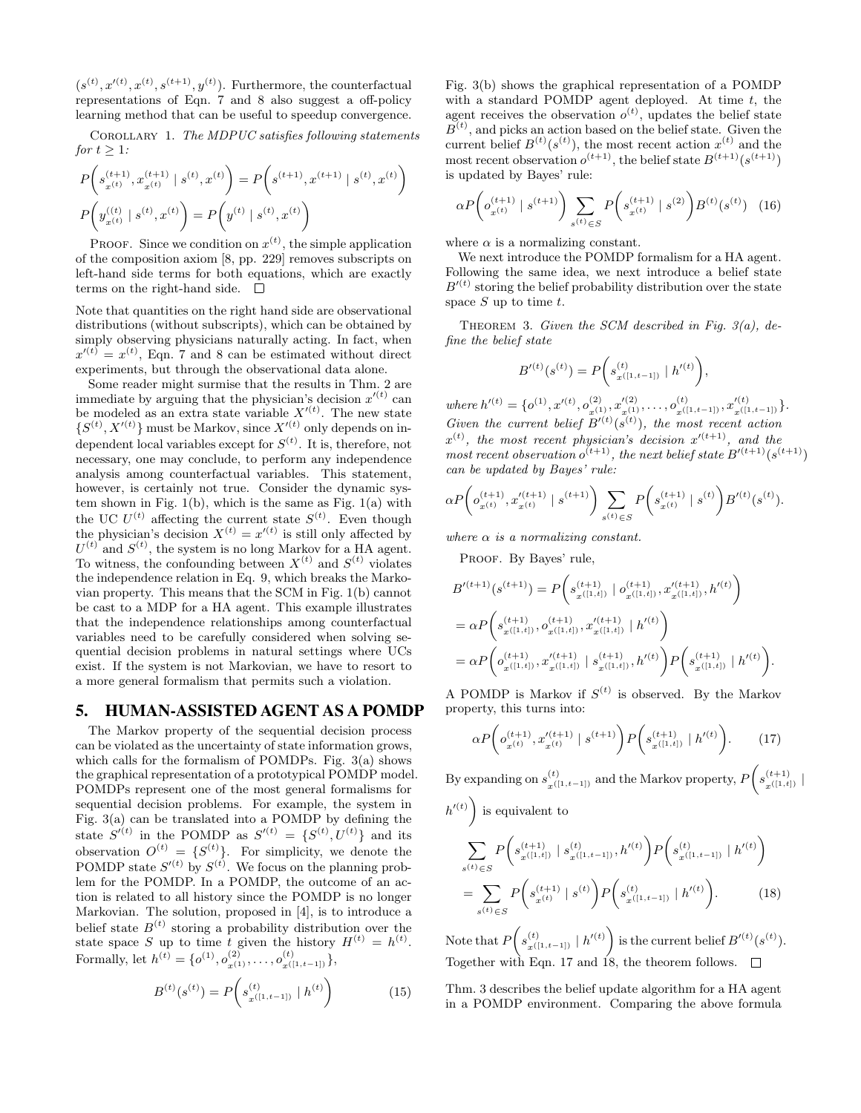$(s^{(t)}, x'^{(t)}, x^{(t)}, s^{(t+1)}, y^{(t)})$ . Furthermore, the counterfactual representations of Eqn. 7 and 8 also suggest a off-policy learning method that can be useful to speedup convergence.

Corollary 1. The MDPUC satisfies following statements for  $t \geq 1$ :

$$
\label{eq:posterior} \begin{split} &P\bigg(s_{x^{(t)}}^{(t+1)}, x_{x^{(t)}}^{(t+1)} \mid s^{(t)}, x^{(t)}\bigg) = P\bigg(s^{(t+1)}, x^{(t+1)} \mid s^{(t)}, x^{(t)}\bigg) \\ &P\bigg(y_{x^{(t)}}^{((t)} \mid s^{(t)}, x^{(t)}\bigg) = P\bigg(y^{(t)} \mid s^{(t)}, x^{(t)}\bigg) \end{split}
$$

**PROOF.** Since we condition on  $x^{(t)}$ , the simple application of the composition axiom [8, pp. 229] removes subscripts on left-hand side terms for both equations, which are exactly terms on the right-hand side.  $\square$ 

Note that quantities on the right hand side are observational distributions (without subscripts), which can be obtained by simply observing physicians naturally acting. In fact, when  $x'(t) = x^{(t)}$ , Eqn. 7 and 8 can be estimated without direct experiments, but through the observational data alone.

Some reader might surmise that the results in Thm. 2 are immediate by arguing that the physician's decision  $x'^{(t)}$  can be modeled as an extra state variable  $X^{\prime(t)}$ . The new state  $\{S^{(t)}, X^{\prime (t)}\}$  must be Markov, since  $X^{\prime (t)}$  only depends on independent local variables except for  $S^{(t)}$ . It is, therefore, not necessary, one may conclude, to perform any independence analysis among counterfactual variables. This statement, however, is certainly not true. Consider the dynamic system shown in Fig. 1(b), which is the same as Fig. 1(a) with the UC  $U^{(t)}$  affecting the current state  $S^{(t)}$ . Even though the physician's decision  $X^{(t)} = x'^{(t)}$  is still only affected by  $U^{(t)}$  and  $S^{(t)}$ , the system is no long Markov for a HA agent. To witness, the confounding between  $X^{(t)}$  and  $S^{(t)}$  violates the independence relation in Eq. 9, which breaks the Markovian property. This means that the SCM in Fig. 1(b) cannot be cast to a MDP for a HA agent. This example illustrates that the independence relationships among counterfactual variables need to be carefully considered when solving sequential decision problems in natural settings where UCs exist. If the system is not Markovian, we have to resort to a more general formalism that permits such a violation.

## 5. HUMAN-ASSISTED AGENT AS A POMDP

The Markov property of the sequential decision process can be violated as the uncertainty of state information grows, which calls for the formalism of POMDPs. Fig. 3(a) shows the graphical representation of a prototypical POMDP model. POMDPs represent one of the most general formalisms for sequential decision problems. For example, the system in Fig. 3(a) can be translated into a POMDP by defining the state  $S^{(t)}$  in the POMDP as  $S^{(t)} = \{S^{(t)}, U^{(t)}\}$  and its observation  $O^{(t)} = \{S^{(t)}\}.$  For simplicity, we denote the POMDP state  $S^{(t)}$  by  $S^{(t)}$ . We focus on the planning problem for the POMDP. In a POMDP, the outcome of an action is related to all history since the POMDP is no longer Markovian. The solution, proposed in [4], is to introduce a belief state  $B^{(t)}$  storing a probability distribution over the state space S up to time t given the history  $H^{(t)} = h^{(t)}$ . Formally, let  $h^{(t)} = \{o^{(1)}, o_{x^{(1)}}^{(2)}, \ldots, o_{x^{(\lfloor 1, t-1]})}}^{(t)}\},$ 

$$
B^{(t)}(s^{(t)}) = P\left(s_{x^{([1,t-1])}}^{(t)} \mid h^{(t)}\right) \tag{15}
$$

Fig. 3(b) shows the graphical representation of a POMDP with a standard POMDP agent deployed. At time  $t$ , the agent receives the observation  $o^{(t)}$ , updates the belief state  $B<sup>(t)</sup>$ , and picks an action based on the belief state. Given the current belief  $B^{(t)}(s^{(t)})$ , the most recent action  $x^{(t)}$  and the most recent observation  $o^{(t+1)}$ , the belief state  $B^{(t+1)}(s^{(t+1)})$ is updated by Bayes' rule:

$$
\alpha P\bigg( o_{x^{(t)}}^{(t+1)} \mid s^{(t+1)} \bigg) \sum_{s^{(t)} \in S} P\bigg( s_{x^{(t)}}^{(t+1)} \mid s^{(2)} \bigg) B^{(t)}(s^{(t)}) \quad (16)
$$

where  $\alpha$  is a normalizing constant.

We next introduce the POMDP formalism for a HA agent. Following the same idea, we next introduce a belief state  $B'(t)$  storing the belief probability distribution over the state space  $S$  up to time  $t$ .

THEOREM 3. Given the SCM described in Fig.  $3(a)$ , define the belief state

$$
B'(t)(s^{(t)}) = P(s^{(t)}_{x^{([1,t-1])}} | h'(t)|),
$$

where  $h'^{(t)} = \{o^{(1)}, x'^{(t)}, o^{(2)}_{x^{(1)}}, x'^{(2)}_{x^{(1)}}, \dots, o^{(t)}_{x^{([1, t-1])}}, x'^{(t)}_{x^{([1, t-1])}}\}.$ Given the current belief  $B'(t)(s^{(t)})$ , the most recent action  $x^{(t)}$ , the most recent physician's decision  $x'^{(t+1)}$ , and the most recent observation  $o^{(t+1)}$ , the next belief state  $B'^{(t+1)}(s^{(t+1)})$ can be updated by Bayes' rule:

$$
\alpha P\bigg( o_{x^{(t)}}^{(t+1)}, x_{x^{(t)}}'^{(t+1)} \mid s^{(t+1)} \bigg) \sum_{s^{(t)} \in S} P\bigg( s_{x^{(t)}}^{(t+1)} \mid s^{(t)} \bigg) B'^{(t)}(s^{(t)}).
$$

where  $\alpha$  is a normalizing constant.

PROOF. By Bayes' rule,

$$
B'^{(t+1)}(s^{(t+1)}) = P\left(s_{x^{([1,t])}}^{(t+1)} | o_{x^{([1,t])}}^{(t+1)}, x_{x^{([1,t])}}'^{(t+1)}, h'^{(t)}\right)
$$
  
= 
$$
\alpha P\left(s_{x^{([1,t])}}^{(t+1)}, o_{x^{([1,t])}}^{(t+1)}, x_{x^{([1,t])}}'^{(t+1)} | h'^{(t)}\right)
$$
  
= 
$$
\alpha P\left(o_{x^{([1,t])}}^{(t+1)}, x_{x^{([1,t])}}'^{(t+1)} | s_{x^{([1,t])}}^{(t+1)}, h'^{(t)}\right) P\left(s_{x^{([1,t])}}^{(t+1)} | h'^{(t)}\right).
$$

A POMDP is Markov if  $S^{(t)}$  is observed. By the Markov property, this turns into:

$$
\alpha P\bigg( o_{x^{(t)}}^{(t+1)}, x_{x^{(t)}}'^{(t+1)} \mid s^{(t+1)} \bigg) P\bigg( s_{x^{([1,t])}}^{(t+1)} \mid h'^{(t)} \bigg). \tag{17}
$$

By expanding on  $s_{x^{([1,t-1])}}^{(t)}$  and the Markov property,  $P\left(s_{x^{([1,t])}}^{(t+1)}\mid$  $h^{\prime(t)}$  is equivalent to

$$
\sum_{s^{(t)} \in S} P\left(s_{x^{([1,t])}}^{(t+1)} \mid s_{x^{([1,t-1])}}^{(t)}, h'^{(t)}\right) P\left(s_{x^{([1,t-1])}}^{(t)} \mid h'^{(t)}\right)
$$
\n
$$
= \sum_{s^{(t)} \in S} P\left(s_{x^{(t)}}^{(t+1)} \mid s^{(t)}\right) P\left(s_{x^{([1,t-1])}}^{(t)} \mid h'^{(t)}\right). \tag{18}
$$

Note that  $P\left(s^{(t)}_{x^{([1,t-1])}} \mid h'^{(t)}\right)$  is the current belief  $B'^{(t)}(s^{(t)})$ . Together with Eqn. 17 and 18, the theorem follows.

Thm. 3 describes the belief update algorithm for a HA agent in a POMDP environment. Comparing the above formula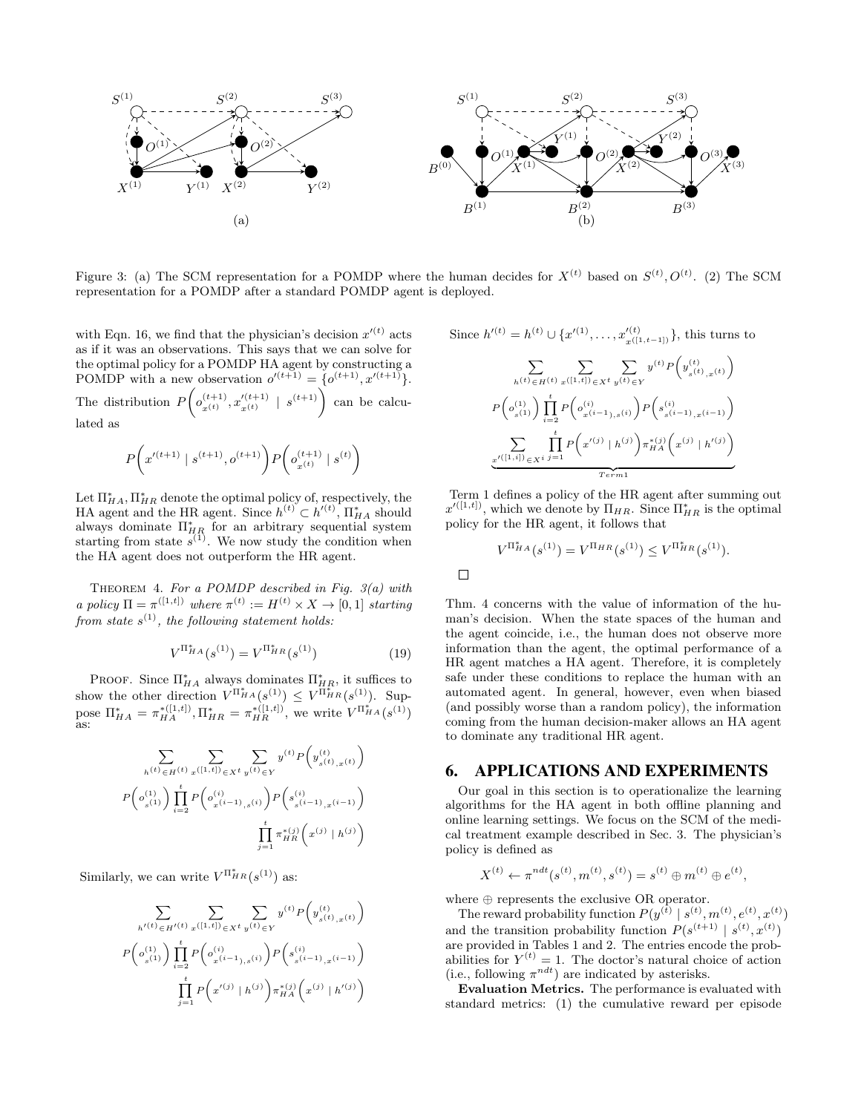

Figure 3: (a) The SCM representation for a POMDP where the human decides for  $X^{(t)}$  based on  $S^{(t)}, O^{(t)}$ . (2) The SCM representation for a POMDP after a standard POMDP agent is deployed.

 $\Box$ 

with Eqn. 16, we find that the physician's decision  $x'(t)$  acts as if it was an observations. This says that we can solve for the optimal policy for a POMDP HA agent by constructing a POMDP with a new observation  $o'^{(t+1)} = \{o^{(t+1)}, x'^{(t+1)}\}.$ 

The distribution  $P\left( o_{x(t)}^{(t+1)}, x_{x(t)}^{\prime (t+1)} \mid s^{(t+1)} \right)$  can be calculated as

$$
P\bigg(x'^{(t+1)} \mid s^{(t+1)}, o^{(t+1)}\bigg) P\bigg(o_{x^{(t)}}^{(t+1)} \mid s^{(t)}\bigg)
$$

Let  $\Pi_{HA}^*$ ,  $\Pi_{HR}^*$  denote the optimal policy of, respectively, the HA agent and the HR agent. Since  $h^{(t)} \subset h'^{(t)}$ ,  $\prod_{HA}^*$  should always dominate  $\Pi_{HR}^*$  for an arbitrary sequential system starting from state  $s^{(1)}$ . We now study the condition when the HA agent does not outperform the HR agent.

THEOREM 4. For a POMDP described in Fig.  $3(a)$  with a policy  $\Pi = \pi^{([1,t])}$  where  $\pi^{(t)} := H^{(t)} \times X \rightarrow [0,1]$  starting from state  $s^{(1)}$ , the following statement holds:

$$
V^{\Pi_{HA}^{*}}(s^{(1)}) = V^{\Pi_{HR}^{*}}(s^{(1)})
$$
\n(19)

PROOF. Since  $\Pi_{HA}^*$  always dominates  $\Pi_{HR}^*$ , it suffices to show the other direction  $V^{\Pi_{HA}^*}(s^{(1)}) \leq V^{\Pi_{HR}^*}(s^{(1)})$ . Suppose  $\Pi_{HA}^* = \pi_{HA}^{*([1,t])}, \Pi_{HR}^* = \pi_{HR}^{*([1,t])}$ , we write  $V^{\Pi_{HA}^*}(s^{(1)})$  as:

$$
\sum_{h^{(t)} \in H^{(t)}} \sum_{x^{([1,t])} \in X^t} \sum_{y^{(t)} \in Y} y^{(t)} P(y^{(t)}_{s^{(t)},x^{(t)}})
$$

$$
P(o^{(1)}_{s^{(1)}}) \prod_{i=2}^t P(o^{(i)}_{x^{(i-1)},s^{(i)}}) P(s^{(i)}_{s^{(i-1)},x^{(i-1)}})
$$

$$
\prod_{j=1}^t \pi_{HR}^{*(j)} (x^{(j)} | h^{(j)})
$$

Similarly, we can write  $V^{\Pi_{HR}^*}(s^{(1)})$  as:

$$
\sum_{h'(t) \in H'(t)} \sum_{x([1,t]) \in X^t} \sum_{y(t) \in Y} y^{(t)} P(y_{s(t),x(t)}^{(t)})
$$

$$
P(o_{s(1)}^{(1)}) \prod_{i=2}^t P(o_{x^{(i-1)},s(i)}^{(i)}) P(s_{s^{(i-1)},x^{(i-1)}}^{(i)})
$$

$$
\prod_{j=1}^t P(x'^{(j)} | h^{(j)}) \pi_{HA}^{*(j)} (x^{(j)} | h'^{(j)})
$$

Since 
$$
h'(t) = h^{(t)} \cup \{x'^{(1)}, \dots, x'^{(t)}_{x^{([1, t-1])}}\}
$$
, this turns to  
\n
$$
\sum_{h^{(t)} \in H^{(t)}} \sum_{x^{([1, t])} \in X^t} \sum_{y^{(t)} \in Y} y^{(t)} P(y^{(t)}_{s^{(t)}, x^{(t)}})
$$
\n
$$
P(o^{(1)}_{s^{(1)}}) \prod_{i=2}^t P(o^{(i)}_{x^{(i-1)}, s^{(i)}}) P(s^{(i)}_{s^{(i-1)}, x^{(i-1)}})
$$
\n
$$
\sum_{x'^{([1, i])} \in X^i} \prod_{j=1}^t P(x'^{(j)} | h^{(j)}) \pi_{HA}^{*(j)}(x^{(j)} | h'^{(j)})
$$
\n
$$
\frac{x'^{([1, i])} \in X^i}{T^{erm1}}
$$

Term 1 defines a policy of the HR agent after summing out  $x'^{([1,t])}$ , which we denote by  $\Pi_{HR}$ . Since  $\Pi_{HR}^*$  is the optimal policy for the HR agent, it follows that

$$
V^{\Pi_{HA}^{*}}(s^{(1)}) = V^{\Pi_{HR}}(s^{(1)}) \leq V^{\Pi_{HR}^{*}}(s^{(1)}).
$$

Thm. 4 concerns with the value of information of the human's decision. When the state spaces of the human and the agent coincide, i.e., the human does not observe more information than the agent, the optimal performance of a HR agent matches a HA agent. Therefore, it is completely safe under these conditions to replace the human with an automated agent. In general, however, even when biased (and possibly worse than a random policy), the information coming from the human decision-maker allows an HA agent to dominate any traditional HR agent.

#### 6. APPLICATIONS AND EXPERIMENTS

Our goal in this section is to operationalize the learning algorithms for the HA agent in both offline planning and online learning settings. We focus on the SCM of the medical treatment example described in Sec. 3. The physician's policy is defined as

$$
X^{(t)} \leftarrow \pi^{ndt}(s^{(t)}, m^{(t)}, s^{(t)}) = s^{(t)} \oplus m^{(t)} \oplus e^{(t)},
$$

where ⊕ represents the exclusive OR operator.

The reward probability function  $P(y^{(\bar{t})} | s^{(t)}, m^{(t)}, e^{(t)}, x^{(t)})$ and the transition probability function  $P(s^{(t+1)} | s^{(t)}, x^{(t)})$ are provided in Tables 1 and 2. The entries encode the probabilities for  $Y^{(t)} = 1$ . The doctor's natural choice of action (i.e., following  $\pi^{ndt}$ ) are indicated by asterisks.

Evaluation Metrics. The performance is evaluated with standard metrics: (1) the cumulative reward per episode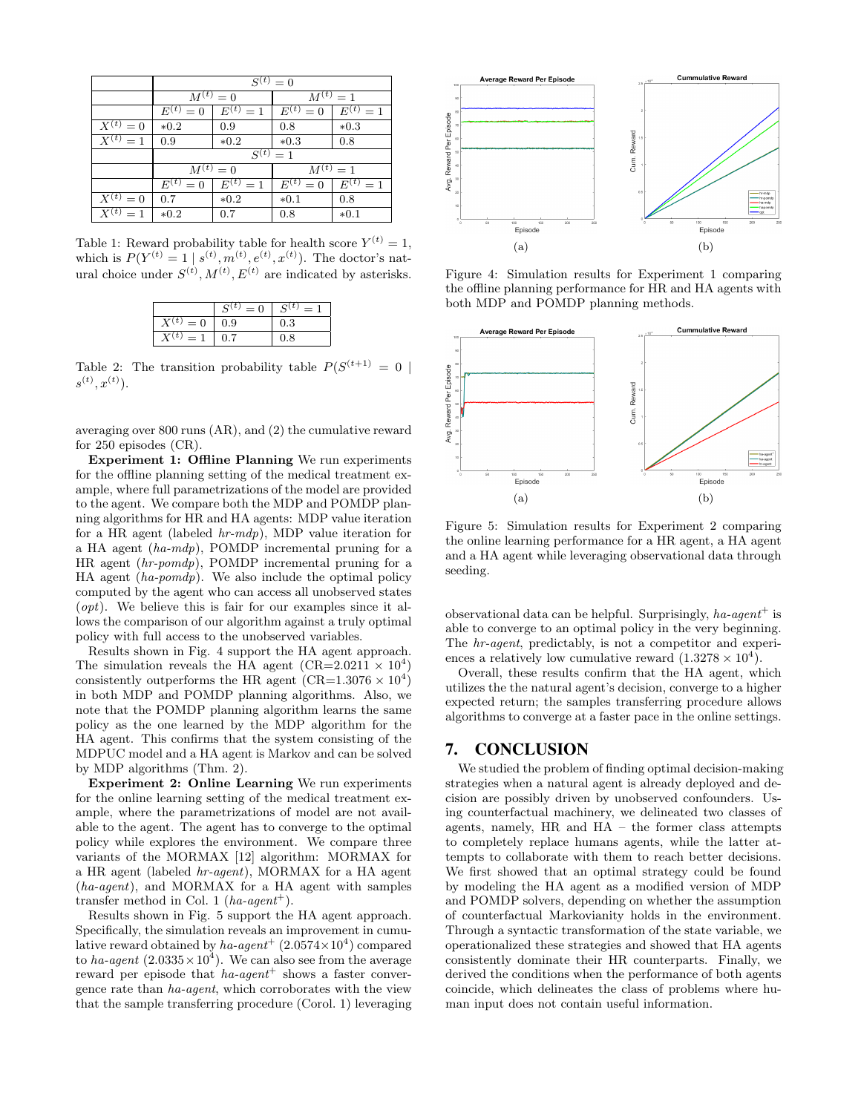|                        | $S^{(t)}=0$   |               |               |               |
|------------------------|---------------|---------------|---------------|---------------|
|                        | $M^{(t)} = 0$ |               | $M^{(t)} = 1$ |               |
|                        | $E^{(t)} = 0$ | $E^{(t)} = 1$ | $E^{(t)}=0$   | $E^{(t)} = 1$ |
| $X^{(t)} = 0$          | $*0.2$        | 0.9           | 0.8           | $*0.3$        |
| $\overline{X^{(t)}}=1$ | 0.9           | $*0.2$        | $*0.3$        | 0.8           |
|                        | $S^{(t)} = 1$ |               |               |               |
|                        | $M^{(t)} = 0$ |               | $M^{(t)} = 1$ |               |
|                        | $E^{(t)}=0$   | $E^{(t)} = 1$ | $E^{(t)}=0$   | $E^{(t)} = 1$ |
| $X^{(t)} = 0$          | 0.7           | $*0.2$        | $*0.1$        | 0.8           |
| $\overline{X}^{(t)}=1$ | $*0.2$        | 0.7           | 0.8           | $*0.1$        |

Table 1: Reward probability table for health score  $Y^{(t)} = 1$ , which is  $P(Y^{(t)} = 1 | s^{(t)}, m^{(t)}, e^{(t)}, x^{(t)})$ . The doctor's natural choice under  $S^{(t)}, M^{(t)}, E^{(t)}$  are indicated by asterisks.

|                         | $S^{(t)}$<br>$= 0$ | $S^{(t)}$<br>= |
|-------------------------|--------------------|----------------|
| $X^{(t)}$<br>$= 0$      | 0.9                | 0.3            |
| $\mathbf{Y}(t)$<br>$=1$ | 0.7                | 0.8            |

Table 2: The transition probability table  $P(S^{(t+1)} = 0$  $s^{(t)}, x^{(t)}$ ).

averaging over 800 runs (AR), and (2) the cumulative reward for 250 episodes (CR).

Experiment 1: Offline Planning We run experiments for the offline planning setting of the medical treatment example, where full parametrizations of the model are provided to the agent. We compare both the MDP and POMDP planning algorithms for HR and HA agents: MDP value iteration for a HR agent (labeled hr-mdp), MDP value iteration for a HA agent (ha-mdp), POMDP incremental pruning for a HR agent (hr-pomdp), POMDP incremental pruning for a HA agent (ha-pomdp). We also include the optimal policy computed by the agent who can access all unobserved states  $(\textit{opt})$ . We believe this is fair for our examples since it allows the comparison of our algorithm against a truly optimal policy with full access to the unobserved variables.

Results shown in Fig. 4 support the HA agent approach. The simulation reveals the HA agent  $(CR=2.0211 \times 10^4)$ consistently outperforms the HR agent  $(CR=1.3076 \times 10^4)$ in both MDP and POMDP planning algorithms. Also, we note that the POMDP planning algorithm learns the same policy as the one learned by the MDP algorithm for the HA agent. This confirms that the system consisting of the MDPUC model and a HA agent is Markov and can be solved by MDP algorithms (Thm. 2).

Experiment 2: Online Learning We run experiments for the online learning setting of the medical treatment example, where the parametrizations of model are not available to the agent. The agent has to converge to the optimal policy while explores the environment. We compare three variants of the MORMAX [12] algorithm: MORMAX for a HR agent (labeled hr-agent), MORMAX for a HA agent (ha-agent), and MORMAX for a HA agent with samples transfer method in Col. 1 (ha-agent<sup>+</sup>).

Results shown in Fig. 5 support the HA agent approach. Specifically, the simulation reveals an improvement in cumulative reward obtained by  $ha\text{-}agent^+$   $(2.0574\times10^4)$  compared to ha-agent  $(2.0335 \times 10^4)$ . We can also see from the average reward per episode that  $ha\text{-}agent^+$  shows a faster convergence rate than ha-agent, which corroborates with the view that the sample transferring procedure (Corol. 1) leveraging



Figure 4: Simulation results for Experiment 1 comparing the offline planning performance for HR and HA agents with both MDP and POMDP planning methods.



Figure 5: Simulation results for Experiment 2 comparing the online learning performance for a HR agent, a HA agent and a HA agent while leveraging observational data through seeding.

observational data can be helpful. Surprisingly,  $ha\text{-}agent\text{+}$  is able to converge to an optimal policy in the very beginning. The hr-agent, predictably, is not a competitor and experiences a relatively low cumulative reward  $(1.3278 \times 10^4)$ .

Overall, these results confirm that the HA agent, which utilizes the the natural agent's decision, converge to a higher expected return; the samples transferring procedure allows algorithms to converge at a faster pace in the online settings.

## 7. CONCLUSION

We studied the problem of finding optimal decision-making strategies when a natural agent is already deployed and decision are possibly driven by unobserved confounders. Using counterfactual machinery, we delineated two classes of agents, namely, HR and HA – the former class attempts to completely replace humans agents, while the latter attempts to collaborate with them to reach better decisions. We first showed that an optimal strategy could be found by modeling the HA agent as a modified version of MDP and POMDP solvers, depending on whether the assumption of counterfactual Markovianity holds in the environment. Through a syntactic transformation of the state variable, we operationalized these strategies and showed that HA agents consistently dominate their HR counterparts. Finally, we derived the conditions when the performance of both agents coincide, which delineates the class of problems where human input does not contain useful information.